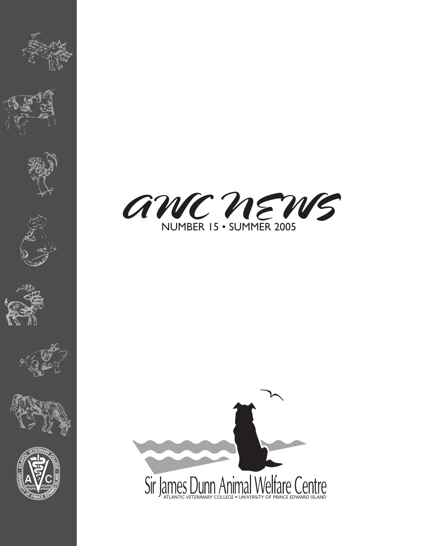















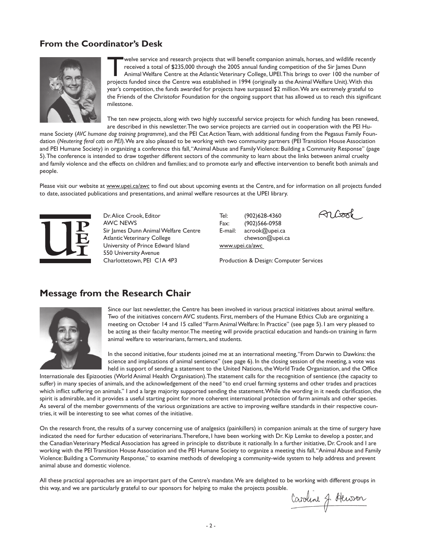# **From the Coordinator's Desk**



welve service and research projects that will benefit companion animals, horses, and wildlife recently received a total of \$235,000 through the 2005 annual funding competition of the Sir James Dunn Animal Welfare Centre at the Atlantic Veterinary College, UPEI. This brings to over 100 the number of projects funded since the Centre was established in 1994 (originally as the Animal Welfare Unit). With this year's competition, the funds awarded for projects have surpassed \$2 million. We are extremely grateful to the Friends of the Christofor Foundation for the ongoing support that has allowed us to reach this significant milestone.

The ten new projects, along with two highly successful service projects for which funding has been renewed, are described in this newsletter. The two service projects are carried out in cooperation with the PEI Hu-

mane Society (*AVC humane dog training programme*), and the PEI Cat Action Team, with additional funding from the Pegasus Family Foundation (*Neutering feral cats on PEI*). We are also pleased to be working with two community partners (PEI Transition House Association and PEI Humane Society) in organizing a conference this fall, "Animal Abuse and Family Violence: Building a Community Response" (page 5). The conference is intended to draw together different sectors of the community to learn about the links between animal cruelty and family violence and the effects on children and families; and to promote early and effective intervention to benefit both animals and people.

Please visit our website at www.upei.ca/awc to find out about upcoming events at the Centre, and for information on all projects funded to date, associated publications and presentations, and animal welfare resources at the UPEI library.



Dr. Alice Crook, Editor AWC NEWS Sir James Dunn Animal Welfare Centre Atlantic Veterinary College University of Prince Edward Island 550 University Avenue Charlottetown, PEI C1A 4P3

Tel: (902)628-4360 Fax: (902)566-0958 E-mail: acrook@upei.ca chewson@upei.ca www.upei.ca/awc

**ो** *डि***क्त**ि

Production & Design: Computer Services

# **Message from the Research Chair**



Since our last newsletter, the Centre has been involved in various practical initiatives about animal welfare. Two of the initiatives concern AVC students. First, members of the Humane Ethics Club are organizing a meeting on October 14 and 15 called "Farm Animal Welfare: In Practice" (see page 5). I am very pleased to be acting as their faculty mentor. The meeting will provide practical education and hands-on training in farm animal welfare to veterinarians, farmers, and students.

In the second initiative, four students joined me at an international meeting, "From Darwin to Dawkins: the science and implications of animal sentience" (see page 6). In the closing session of the meeting, a vote was held in support of sending a statement to the United Nations, the World Trade Organization, and the Office

Internationale des Epizooties (World Animal Health Organisation). The statement calls for the recognition of sentience (the capacity to suffer) in many species of animals, and the acknowledgement of the need "to end cruel farming systems and other trades and practices which inflict suffering on animals." I and a large majority supported sending the statement. While the wording in it needs clarification, the spirit is admirable, and it provides a useful starting point for more coherent international protection of farm animals and other species. As several of the member governments of the various organizations are active to improving welfare standards in their respective countries, it will be interesting to see what comes of the initiative.

On the research front, the results of a survey concerning use of analgesics (painkillers) in companion animals at the time of surgery have indicated the need for further education of veterinarians. Therefore, I have been working with Dr. Kip Lemke to develop a poster, and the Canadian Veterinary Medical Association has agreed in principle to distribute it nationally. In a further initiative, Dr. Crook and I are working with the PEI Transition House Association and the PEI Humane Society to organize a meeting this fall, "Animal Abuse and Family Violence: Building a Community Response," to examine methods of developing a community-wide system to help address and prevent animal abuse and domestic violence.

All these practical approaches are an important part of the Centre's mandate. We are delighted to be working with different groups in this way, and we are particularly grateful to our sponsors for helping to make the projects possible.

Caroline J. Hewson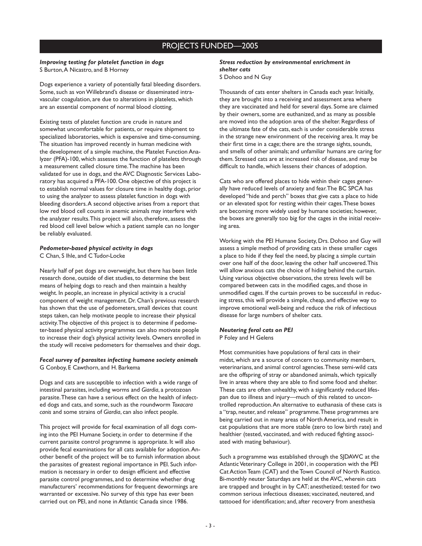### PROJECTS FUNDED—2005

#### *Improving testing for platelet function in dogs* S Burton, A Nicastro, and B Horney

Dogs experience a variety of potentially fatal bleeding disorders. Some, such as von Willebrand's disease or disseminated intravascular coagulation, are due to alterations in platelets, which are an essential component of normal blood clotting.

Existing tests of platelet function are crude in nature and somewhat uncomfortable for patients, or require shipment to specialized laboratories, which is expensive and time-consuming. The situation has improved recently in human medicine with the development of a simple machine, the Platelet Function Analyzer (PFA)-100, which assesses the function of platelets through a measurement called closure time. The machine has been validated for use in dogs, and the AVC Diagnostic Services Laboratory has acquired a PFA-100. One objective of this project is to establish normal values for closure time in healthy dogs, prior to using the analyzer to assess platelet function in dogs with bleeding disorders. A second objective arises from a report that low red blood cell counts in anemic animals may interfere with the analyzer results. This project will also, therefore, assess the red blood cell level below which a patient sample can no longer be reliably evaluated.

#### *Pedometer-based physical activity in dogs*

C Chan, S Ihle, and C Tudor-Locke

Nearly half of pet dogs are overweight, but there has been little research done, outside of diet studies, to determine the best means of helping dogs to reach and then maintain a healthy weight. In people, an increase in physical activity is a crucial component of weight management. Dr. Chan's previous research has shown that the use of pedometers, small devices that count steps taken, can help motivate people to increase their physical activity. The objective of this project is to determine if pedometer-based physical activity programmes can also motivate people to increase their dog's physical activity levels. Owners enrolled in the study will receive pedometers for themselves and their dogs.

#### *Fecal survey of parasites infecting humane society animals* G Conboy, E Cawthorn, and H. Barkema

Dogs and cats are susceptible to infection with a wide range of intestinal parasites, including worms and *Giardia*, a protozoan parasite. These can have a serious effect on the health of infected dogs and cats, and some, such as the roundworm *Toxacara canis* and some strains of *Giardia*, can also infect people.

This project will provide for fecal examination of all dogs coming into the PEI Humane Society, in order to determine if the current parasite control programme is appropriate. It will also provide fecal examinations for all cats available for adoption. Another benefit of the project will be to furnish information about the parasites of greatest regional importance in PEI. Such information is necessary in order to design efficient and effective parasite control programmes, and to determine whether drug manufacturers' recommendations for frequent dewormings are warranted or excessive. No survey of this type has ever been carried out on PEI, and none in Atlantic Canada since 1986.

## *Stress reduction by environmental enrichment in shelter cats*

S Dohoo and N Guy

Thousands of cats enter shelters in Canada each year. Initially, they are brought into a receiving and assessment area where they are vaccinated and held for several days. Some are claimed by their owners, some are euthanized, and as many as possible are moved into the adoption area of the shelter. Regardless of the ultimate fate of the cats, each is under considerable stress in the strange new environment of the receiving area. It may be their first time in a cage; there are the strange sights, sounds, and smells of other animals; and unfamiliar humans are caring for them. Stressed cats are at increased risk of disease, and may be difficult to handle, which lessens their chances of adoption.

Cats who are offered places to hide within their cages generally have reduced levels of anxiety and fear. The BC SPCA has developed "hide and perch" boxes that give cats a place to hide or an elevated spot for resting within their cages. These boxes are becoming more widely used by humane societies; however, the boxes are generally too big for the cages in the initial receiving area.

Working with the PEI Humane Society, Drs. Dohoo and Guy will assess a simple method of providing cats in these smaller cages a place to hide if they feel the need, by placing a simple curtain over one half of the door, leaving the other half uncovered. This will allow anxious cats the choice of hiding behind the curtain. Using various objective observations, the stress levels will be compared between cats in the modified cages, and those in unmodified cages. If the curtain proves to be successful in reducing stress, this will provide a simple, cheap, and effective way to improve emotional well-being and reduce the risk of infectious disease for large numbers of shelter cats.

#### *Neutering feral cats on PEI*  P Foley and H Gelens

Most communities have populations of feral cats in their midst, which are a source of concern to community members, veterinarians, and animal control agencies. These semi-wild cats are the offspring of stray or abandoned animals, which typically live in areas where they are able to find some food and shelter. These cats are often unhealthy, with a significantly reduced lifespan due to illness and injury—much of this related to uncontrolled reproduction. An alternative to euthanasia of these cats is a "trap, neuter, and release" programme. These programmes are being carried out in many areas of North America, and result in cat populations that are more stable (zero to low birth rate) and healthier (tested, vaccinated, and with reduced fighting associated with mating behaviour).

Such a programme was established through the SJDAWC at the Atlantic Veterinary College in 2001, in cooperation with the PEI Cat Action Team (CAT) and the Town Council of North Rustico. Bi-monthly neuter Saturdays are held at the AVC, wherein cats are trapped and brought in by CAT; anesthetized; tested for two common serious infectious diseases; vaccinated, neutered, and tattooed for identification; and, after recovery from anesthesia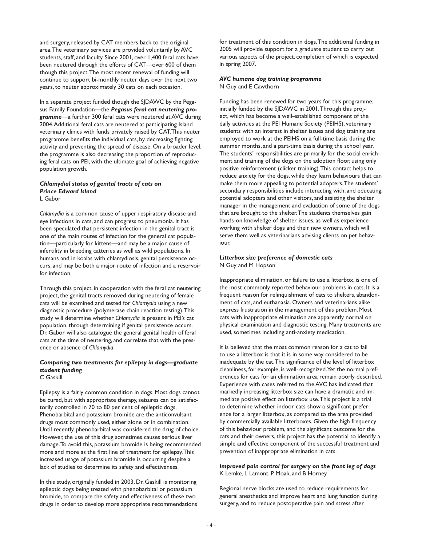and surgery, released by CAT members back to the original area. The veterinary services are provided voluntarily by AVC students, staff, and faculty. Since 2001, over 1,400 feral cats have been neutered through the efforts of CAT—over 600 of them though this project. The most recent renewal of funding will continue to support bi-monthly neuter days over the next two years, to neuter approximately 30 cats on each occasion.

In a separate project funded though the SJDAWC by the Pegasus Family Foundation—the *Pegasus feral cat neutering programme*—a further 300 feral cats were neutered at AVC during 2004. Additional feral cats are neutered at participating Island veterinary clinics with funds privately raised by CAT. This neuter programme benefits the individual cats, by decreasing fighting activity and preventing the spread of disease. On a broader level, the programme is also decreasing the proportion of reproducing feral cats on PEI, with the ultimate goal of achieving negative population growth.

#### *Chlamydial status of genital tracts of cats on Prince Edward Island* L Gabor

*Chlamydia* is a common cause of upper respiratory disease and eye infections in cats, and can progress to pneumonia. It has been speculated that persistent infection in the genital tract is one of the main routes of infection for the general cat population—particularly for kittens—and may be a major cause of infertility in breeding catteries as well as wild populations. In humans and in koalas with chlamydiosis, genital persistence occurs, and may be both a major route of infection and a reservoir for infection.

Through this project, in cooperation with the feral cat neutering project, the genital tracts removed during neutering of female cats will be examined and tested for *Chlamydia* using a new diagnostic procedure (polymerase chain reaction testing). This study will determine whether *Chlamydia* is present in PEI's cat population, through determining if genital persistence occurs. Dr. Gabor will also catalogue the general genital health of feral cats at the time of neutering, and correlate that with the presence or absence of *Chlamydia*.

## *Comparing two treatments for epilepsy in dogs—graduate student funding*

C Gaskill

Epilepsy is a fairly common condition in dogs. Most dogs cannot be cured, but with appropriate therapy, seizures can be satisfactorily controlled in 70 to 80 per cent of epileptic dogs. Phenobarbital and potassium bromide are the anticonvulsant drugs most commonly used, either alone or in combination. Until recently, phenobarbital was considered the drug of choice. However, the use of this drug sometimes causes serious liver damage. To avoid this, potassium bromide is being recommended more and more as the first line of treatment for epilepsy. This increased usage of potassium bromide is occurring despite a lack of studies to determine its safety and effectiveness.

In this study, originally funded in 2003, Dr. Gaskill is monitoring epileptic dogs being treated with phenobarbital or potassium bromide, to compare the safety and effectiveness of these two drugs in order to develop more appropriate recommendations for treatment of this condition in dogs. The additional funding in 2005 will provide support for a graduate student to carry out various aspects of the project, completion of which is expected in spring 2007.

#### *AVC humane dog training programme* N Guy and E Cawthorn

Funding has been renewed for two years for this programme, initially funded by the SJDAWC in 2001. Through this project, which has become a well-established component of the daily activities at the PEI Humane Society (PEIHS), veterinary students with an interest in shelter issues and dog training are employed to work at the PEIHS on a full-time basis during the summer months, and a part-time basis during the school year. The students' responsibilities are primarily for the social enrichment and training of the dogs on the adoption floor, using only positive reinforcement (clicker training). This contact helps to reduce anxiety for the dogs, while they learn behaviours that can make them more appealing to potential adopters. The students' secondary responsibilities include interacting with, and educating, potential adopters and other visitors, and assisting the shelter manager in the management and evaluation of some of the dogs that are brought to the shelter. The students themselves gain hands-on knowledge of shelter issues, as well as experience working with shelter dogs and their new owners, which will serve them well as veterinarians advising clients on pet behaviour.

#### *Litterbox size preference of domestic cats* N Guy and M Hopson

Inappropriate elimination, or failure to use a litterbox, is one of the most commonly reported behaviour problems in cats. It is a frequent reason for relinquishment of cats to shelters, abandonment of cats, and euthanasia. Owners and veterinarians alike express frustration in the management of this problem. Most cats with inappropriate elimination are apparently normal on physical examination and diagnostic testing. Many treatments are used, sometimes including anti-anxiety medication.

It is believed that the most common reason for a cat to fail to use a litterbox is that it is in some way considered to be inadequate by the cat. The significance of the level of litterbox cleanliness, for example, is well-recognized. Yet the normal preferences for cats for an elimination area remain poorly described. Experience with cases referred to the AVC has indicated that markedly increasing litterbox size can have a dramatic and immediate positive effect on litterbox use. This project is a trial to determine whether indoor cats show a significant preference for a larger litterbox, as compared to the area provided by commercially available litterboxes. Given the high frequency of this behaviour problem, and the significant outcome for the cats and their owners, this project has the potential to identify a simple and effective component of the successful treatment and prevention of inappropriate elimination in cats.

#### *Improved pain control for surgery on the front leg of dogs* K Lemke, L Lamont, P Moak, and B Horney

Regional nerve blocks are used to reduce requirements for general anesthetics and improve heart and lung function during surgery, and to reduce postoperative pain and stress after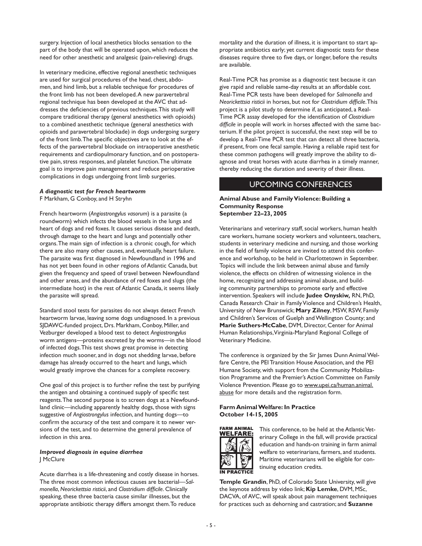surgery. Injection of local anesthetics blocks sensation to the part of the body that will be operated upon, which reduces the need for other anesthetic and analgesic (pain-relieving) drugs.

In veterinary medicine, effective regional anesthetic techniques are used for surgical procedures of the head, chest, abdomen, and hind limb, but a reliable technique for procedures of the front limb has not been developed. A new paravertebral regional technique has been developed at the AVC that addresses the deficiencies of previous techniques. This study will compare traditional therapy (general anesthetics with opioids) to a combined anesthetic technique (general anesthetics with opioids and paravertebral blockade) in dogs undergoing surgery of the front limb. The specific objectives are to look at the effects of the paravertebral blockade on intraoperative anesthetic requirements and cardiopulmonary function, and on postoperative pain, stress responses, and platelet function. The ultimate goal is to improve pain management and reduce perioperative complications in dogs undergoing front limb surgeries.

#### *A diagnostic test for French heartworm*

F Markham, G Conboy, and H Stryhn

French heartworm (*Angiostrongylus vasorum*) is a parasite (a roundworm) which infects the blood vessels in the lungs and heart of dogs and red foxes. It causes serious disease and death, through damage to the heart and lungs and potentially other organs. The main sign of infection is a chronic cough, for which there are also many other causes, and, eventually, heart failure. The parasite was first diagnosed in Newfoundland in 1996 and has not yet been found in other regions of Atlantic Canada, but given the frequency and speed of travel between Newfoundland and other areas, and the abundance of red foxes and slugs (the intermediate host) in the rest of Atlantic Canada, it seems likely the parasite will spread.

Standard stool tests for parasites do not always detect French heartworm larvae, leaving some dogs undiagnosed. In a previous SJDAWC-funded project, Drs. Markham, Conboy, Miller, and Vezburger developed a blood test to detect *Angiostrongylus* worm antigens—proteins excreted by the worms—in the blood of infected dogs. This test shows great promise in detecting infection much sooner, and in dogs not shedding larvae, before damage has already occurred to the heart and lungs, which would greatly improve the chances for a complete recovery.

One goal of this project is to further refine the test by purifying the antigen and obtaining a continued supply of specific test reagents. The second purpose is to screen dogs at a Newfoundland clinic—including apparently healthy dogs, those with signs suggestive of *Angiostrongylus* infection, and hunting dogs—to confirm the accuracy of the test and compare it to newer versions of the test, and to determine the general prevalence of infection in this area.

#### *Improved diagnosis in equine diarrhea*  J McClure

Acute diarrhea is a life-threatening and costly disease in horses. The three most common infectious causes are bacterial—*Salmonella*, *Neorickettsia risticii*, and *Clostridium difficile*. Clinically speaking, these three bacteria cause similar illnesses, but the appropriate antibiotic therapy differs amongst them. To reduce

mortality and the duration of illness, it is important to start appropriate antibiotics early; yet current diagnostic tests for these diseases require three to five days, or longer, before the results are available.

Real-Time PCR has promise as a diagnostic test because it can give rapid and reliable same-day results at an affordable cost. Real-Time PCR tests have been developed for *Salmonella* and *Neorickettsia risticii* in horses, but not for *Clostridium difficile*. This project is a pilot study to determine if, as anticipated, a Real-Time PCR assay developed for the identification of *Clostridium difficile* in people will work in horses affected with the same bacterium. If the pilot project is successful, the next step will be to develop a Real-Time PCR test that can detect all three bacteria, if present, from one fecal sample. Having a reliable rapid test for these common pathogens will greatly improve the ability to diagnose and treat horses with acute diarrhea in a timely manner, thereby reducing the duration and severity of their illness.

### UPCOMING CONFERENCES

#### **Animal Abuse and Family Violence: Building a Community Response September 22–23, 2005**

Veterinarians and veterinary staff, social workers, human health care workers, humane society workers and volunteers, teachers, students in veterinary medicine and nursing, and those working in the field of family violence are invited to attend this conference and workshop, to be held in Charlottetown in September. Topics will include the link between animal abuse and family violence, the effects on children of witnessing violence in the home, recognizing and addressing animal abuse, and building community partnerships to promote early and effective intervention. Speakers will include **Judee Onyskiw,** RN, PhD, Canada Research Chair in Family Violence and Children's Health, University of New Brunswick; **Mary Zilney**, MSW, RSW, Family and Children's Services of Guelph and Wellington County; and **Marie Suthers-McCabe**, DVM, Director, Center for Animal Human Relationships, Virginia-Maryland Regional College of Veterinary Medicine.

The conference is organized by the Sir James Dunn Animal Welfare Centre, the PEI Transition House Association, and the PEI Humane Society, with support from the Community Mobilization Programme and the Premier's Action Committee on Family Violence Prevention. Please go to www.upei.ca/human.animal. abuse for more details and the registration form.

#### **Farm Animal Welfare: In Practice October 14-15, 2005**



This conference, to be held at the Atlantic Veterinary College in the fall, will provide practical education and hands-on training in farm animal welfare to veterinarians, farmers, and students. Maritime veterinarians will be eligible for continuing education credits.

**Temple Grandin**, PhD, of Colorado State University, will give the keynote address by video link; **Kip Lemke**, DVM, MSc, DACVA, of AVC, will speak about pain management techniques for practices such as dehorning and castration; and **Suzanne**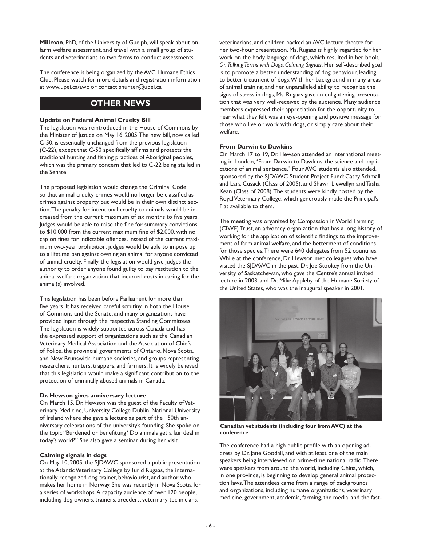**Millman**, PhD, of the University of Guelph, will speak about onfarm welfare assessment, and travel with a small group of students and veterinarians to two farms to conduct assessments.

The conference is being organized by the AVC Humane Ethics Club. Please watch for more details and registration information at www.upei.ca/awc or contact shunter@upei.ca

# **OTHER NEWS**

#### **Update on Federal Animal Cruelty Bill**

The legislation was reintroduced in the House of Commons by the Minister of Justice on May 16, 2005. The new bill, now called C-50, is essentially unchanged from the previous legislation (C-22), except that C-50 specifically affirms and protects the traditional hunting and fishing practices of Aboriginal peoples, which was the primary concern that led to C-22 being stalled in the Senate.

The proposed legislation would change the Criminal Code so that animal cruelty crimes would no longer be classified as crimes against property but would be in their own distinct section. The penalty for intentional cruelty to animals would be increased from the current maximum of six months to five years. Judges would be able to raise the fine for summary convictions to \$10,000 from the current maximum fine of \$2,000, with no cap on fines for indictable offences. Instead of the current maximum two-year prohibition, judges would be able to impose up to a lifetime ban against owning an animal for anyone convicted of animal cruelty. Finally, the legislation would give judges the authority to order anyone found guilty to pay restitution to the animal welfare organization that incurred costs in caring for the animal(s) involved.

This legislation has been before Parliament for more than five years. It has received careful scrutiny in both the House of Commons and the Senate, and many organizations have provided input through the respective Standing Committees. The legislation is widely supported across Canada and has the expressed support of organizations such as the Canadian Veterinary Medical Association and the Association of Chiefs of Police, the provincial governments of Ontario, Nova Scotia, and New Brunswick, humane societies, and groups representing researchers, hunters, trappers, and farmers. It is widely believed that this legislation would make a significant contribution to the protection of criminally abused animals in Canada.

#### **Dr. Hewson gives anniversary lecture**

On March 15, Dr. Hewson was the guest of the Faculty of Veterinary Medicine, University College Dublin, National University of Ireland where she gave a lecture as part of the 150th anniversary celebrations of the university's founding. She spoke on the topic "Burdened or benefitting? Do animals get a fair deal in today's world?" She also gave a seminar during her visit.

#### **Calming signals in dogs**

On May 10, 2005, the SJDAWC sponsored a public presentation at the Atlantic Veterinary College by Turid Rugaas, the internationally recognized dog trainer, behaviourist, and author who makes her home in Norway. She was recently in Nova Scotia for a series of workshops. A capacity audience of over 120 people, including dog owners, trainers, breeders, veterinary technicians,

veterinarians, and children packed an AVC lecture theatre for her two-hour presentation. Ms. Rugaas is highly regarded for her work on the body language of dogs, which resulted in her book, *On Talking Terms with Dogs: Calming Signals*. Her self-described goal is to promote a better understanding of dog behaviour, leading to better treatment of dogs. With her background in many areas of animal training, and her unparalleled ability to recognize the signs of stress in dogs, Ms. Rugaas gave an enlightening presentation that was very well-received by the audience. Many audience members expressed their appreciation for the opportunity to hear what they felt was an eye-opening and positive message for those who live or work with dogs, or simply care about their welfare.

#### **From Darwin to Dawkins**

On March 17 to 19, Dr. Hewson attended an international meeting in London, "From Darwin to Dawkins: the science and implications of animal sentience." Four AVC students also attended, sponsored by the SJDAWC Student Project Fund: Cathy Schmall and Lara Cusack (Class of 2005), and Shawn Llewellyn and Tasha Kean (Class of 2008). The students were kindly hosted by the Royal Veterinary College, which generously made the Principal's Flat available to them.

The meeting was organized by Compassion in World Farming (CIWF) Trust, an advocacy organization that has a long history of working for the application of scientific findings to the improvement of farm animal welfare, and the betterment of conditions for those species. There were 640 delegates from 52 countries. While at the conference, Dr. Hewson met colleagues who have visited the SJDAWC in the past: Dr. Joe Stookey from the University of Saskatchewan, who gave the Centre's annual invited lecture in 2003, and Dr. Mike Appleby of the Humane Society of the United States, who was the inaugural speaker in 2001.



**Canadian vet students (including four from AVC) at the conference**

The conference had a high public profile with an opening address by Dr. Jane Goodall, and with at least one of the main speakers being interviewed on prime-time national radio. There were speakers from around the world, including China, which, in one province, is beginning to develop general animal protection laws. The attendees came from a range of backgrounds and organizations, including humane organizations, veterinary medicine, government, academia, farming, the media, and the fast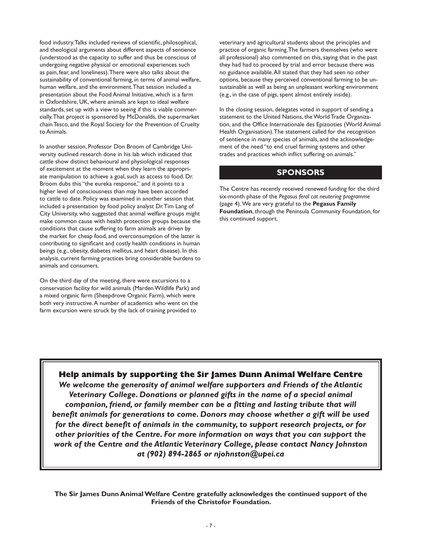food industry. Talks included reviews of scientific, philosophical, and theological arguments about different aspects of sentience (understood as the capacity to suffer and thus be conscious of undergoing negative physical or emotional experiences such as pain, fear, and loneliness). There were also talks about the sustainability of conventional farming, in terms of animal welfare, human welfare, and the environment. That session included a presentation about the Food Animal Initiative, which is a farm in Oxfordshire, UK, where animals are kept to ideal welfare standards, set up with a view to seeing if this is viable commercially. That project is sponsored by McDonalds, the supermarket chain Tesco, and the Royal Society for the Prevention of Cruelty to Animals.

In another session, Professor Don Broom of Cambridge University outlined research done in his lab which indicated that cattle show distinct behavioural and physiological responses of excitement at the moment when they learn the appropriate manipulation to achieve a goal, such as access to food. Dr. Broom dubs this "the eureka response," and it points to a higher level of consciousness than may have been accorded to cattle to date. Policy was examined in another session that included a presentation by food policy analyst Dr. Tim Lang of City University, who suggested that animal welfare groups might make common cause with health protection groups because the conditions that cause suffering to farm animals are driven by the market for cheap food, and overconsumption of the latter is contributing to significant and costly health conditions in human beings (e.g., obesity, diabetes mellitus, and heart disease). In this analysis, current farming practices bring considerable burdens to animals and consumers.

On the third day of the meeting, there were excursions to a conservation facility for wild animals (Marden Wildlife Park) and a mixed organic farm (Sheepdrove Organic Farm), which were both very instructive. A number of academics who went on the farm excursion were struck by the lack of training provided to

veterinary and agricultural students about the principles and practice of organic farming. The farmers themselves (who were all professional) also commented on this, saying that in the past they had had to proceed by trial and error because there was no guidance available. All stated that they had seen no other options, because they perceived conventional farming to be unsustainable as well as being an unpleasant working environment (e.g., in the case of pigs, spent almost entirely inside).

In the closing session, delegates voted in support of sending a statement to the United Nations, the World Trade Organization, and the Office Internationale des Epizooties (World Animal Health Organisation). The statement called for the recognition of sentience in many species of animals, and the acknowledgement of the need "to end cruel farming systems and other trades and practices which inflict suffering on animals."

### **SPONSORS**

The Centre has recently received renewed funding for the third six-month phase of the *Pegasus feral cat neutering programme* (page 4). We are very grateful to the **Pegasus Family Foundation**, through the Peninsula Community Foundation, for this continued support.

### **Help animals by supporting the Sir James Dunn Animal Welfare Centre**

*We welcome the generosity of animal welfare supporters and Friends of the Atlantic Veterinary College. Donations or planned gifts in the name of a special animal companion, friend, or family member can be a fitting and lasting tribute that will benefit animals for generations to come. Donors may choose whether a gift will be used for the direct benefit of animals in the community, to support research projects, or for other priorities of the Centre. For more information on ways that you can support the work of the Centre and the Atlantic Veterinary College, please contact Nancy Johnston at (902) 894-2865 or njohnston@upei.ca* 

**The Sir James Dunn Animal Welfare Centre gratefully acknowledges the continued support of the Friends of the Christofor Foundation.**